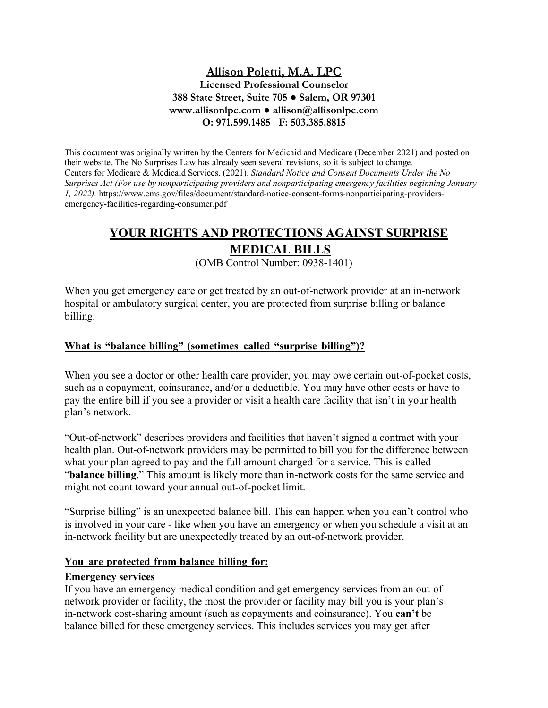# **Allison Poletti, M.A. LPC Licensed Professional Counselor 388 State Street, Suite 705 ● Salem, OR 97301 www.allisonlpc.com ● allison@allisonlpc.com O: 971.599.1485 F: 503.385.8815**

This document was originally written by the Centers for Medicaid and Medicare (December 2021) and posted on their website. The No Surprises Law has already seen several revisions, so it is subject to change. Centers for Medicare & Medicaid Services. (2021). *Standard Notice and Consent Documents Under the No Surprises Act (For use by nonparticipating providers and nonparticipating emergency facilities beginning January 1, 2022).* https://www.cms.gov/files/document/standard-notice-consent-forms-nonparticipating-providersemergency-facilities-regarding-consumer.pdf

# **YOUR RIGHTS AND PROTECTIONS AGAINST SURPRISE**

# **MEDICAL BILLS**

(OMB Control Number: 0938-1401)

When you get emergency care or get treated by an out-of-network provider at an in-network hospital or ambulatory surgical center, you are protected from surprise billing or balance billing.

# **What is "balance billing" (sometimes called "surprise billing")?**

When you see a doctor or other health care provider, you may owe certain out-of-pocket costs, such as a copayment, coinsurance, and/or a deductible. You may have other costs or have to pay the entire bill if you see a provider or visit a health care facility that isn't in your health plan's network.

"Out-of-network" describes providers and facilities that haven't signed a contract with your health plan. Out-of-network providers may be permitted to bill you for the difference between what your plan agreed to pay and the full amount charged for a service. This is called "**balance billing**." This amount is likely more than in-network costs for the same service and might not count toward your annual out-of-pocket limit.

"Surprise billing" is an unexpected balance bill. This can happen when you can't control who is involved in your care - like when you have an emergency or when you schedule a visit at an in-network facility but are unexpectedly treated by an out-of-network provider.

#### **You are protected from balance billing for:**

#### **Emergency services**

If you have an emergency medical condition and get emergency services from an out-ofnetwork provider or facility, the most the provider or facility may bill you is your plan's in-network cost-sharing amount (such as copayments and coinsurance). You **can't** be balance billed for these emergency services. This includes services you may get after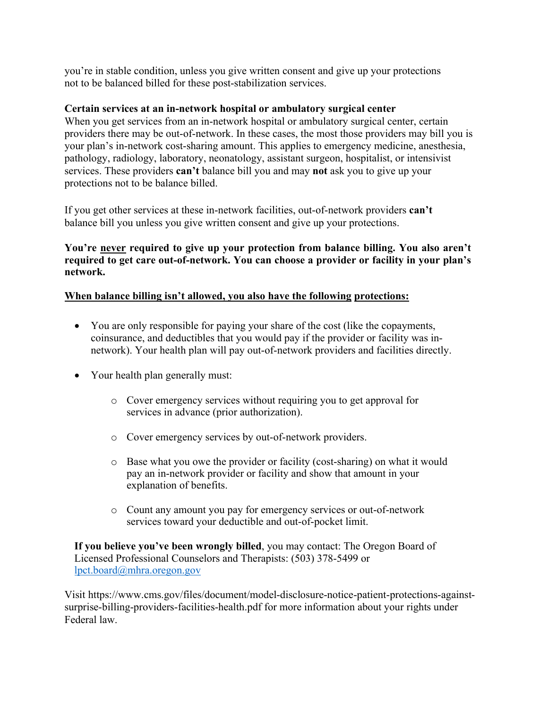you're in stable condition, unless you give written consent and give up your protections not to be balanced billed for these post-stabilization services.

## **Certain services at an in-network hospital or ambulatory surgical center**

When you get services from an in-network hospital or ambulatory surgical center, certain providers there may be out-of-network. In these cases, the most those providers may bill you is your plan's in-network cost-sharing amount. This applies to emergency medicine, anesthesia, pathology, radiology, laboratory, neonatology, assistant surgeon, hospitalist, or intensivist services. These providers **can't** balance bill you and may **not** ask you to give up your protections not to be balance billed.

If you get other services at these in-network facilities, out-of-network providers **can't** balance bill you unless you give written consent and give up your protections.

**You're never required to give up your protection from balance billing. You also aren't required to get care out-of-network. You can choose a provider or facility in your plan's network.**

### **When balance billing isn't allowed, you also have the following protections:**

- You are only responsible for paying your share of the cost (like the copayments, coinsurance, and deductibles that you would pay if the provider or facility was innetwork). Your health plan will pay out-of-network providers and facilities directly.
- Your health plan generally must:
	- o Cover emergency services without requiring you to get approval for services in advance (prior authorization).
	- o Cover emergency services by out-of-network providers.
	- o Base what you owe the provider or facility (cost-sharing) on what it would pay an in-network provider or facility and show that amount in your explanation of benefits.
	- o Count any amount you pay for emergency services or out-of-network services toward your deductible and out-of-pocket limit.

**If you believe you've been wrongly billed**, you may contact: The Oregon Board of Licensed Professional Counselors and Therapists: (503) 378-5499 or lpct.board@mhra.oregon.gov

Visit https://www.cms.gov/files/document/model-disclosure-notice-patient-protections-againstsurprise-billing-providers-facilities-health.pdf for more information about your rights under Federal law.